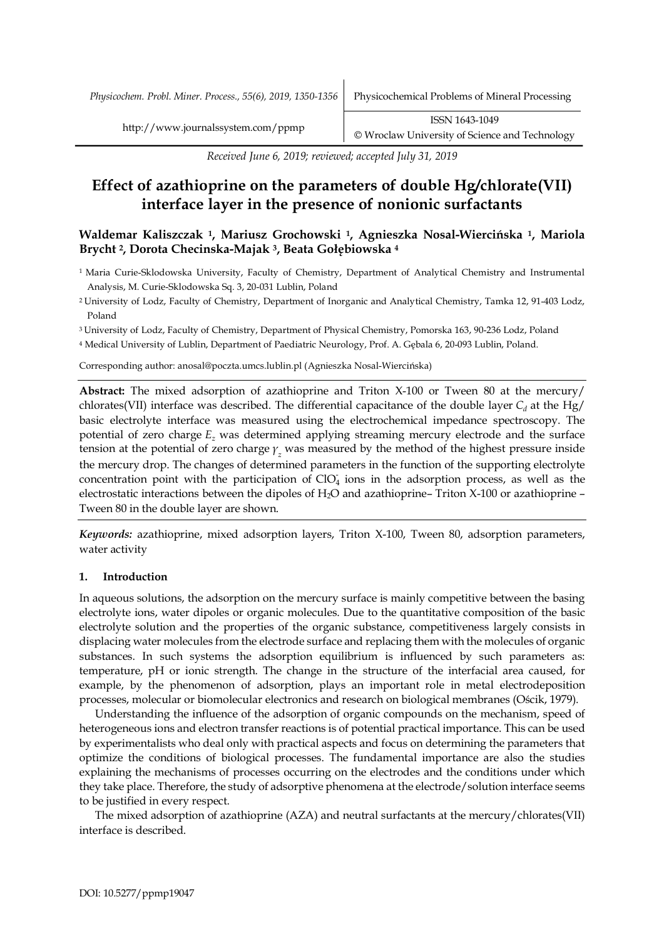*Physicochem. Probl. Miner. Process., 55(6), 2019, 1350-1356* Physicochemical Problems of Mineral Processing

*Received June 6, 2019; reviewed; accepted July 31, 2019*

# **Effect of azathioprine on the parameters of double Hg/chlorate(VII) interface layer in the presence of nonionic surfactants**

# **Waldemar Kaliszczak 1, Mariusz Grochowski 1, Agnieszka Nosal-Wiercińska 1, Mariola Brycht 2, Dorota Checinska-Majak 3, Beata Gołębiowska <sup>4</sup>**

<sup>1</sup> Maria Curie-Sklodowska University, Faculty of Chemistry, Department of Analytical Chemistry and Instrumental Analysis, M. Curie-Sklodowska Sq. 3, 20-031 Lublin, Poland

<sup>2</sup> University of Lodz, Faculty of Chemistry, Department of Inorganic and Analytical Chemistry, Tamka 12, 91-403 Lodz, Poland

<sup>3</sup> University of Lodz, Faculty of Chemistry, Department of Physical Chemistry, Pomorska 163, 90-236 Lodz, Poland

<sup>4</sup> Medical University of Lublin, Department of Paediatric Neurology, Prof. A. Gębala 6, 20-093 Lublin, Poland.

Corresponding author: anosal@poczta.umcs.lublin.pl (Agnieszka Nosal-Wiercińska)

**Abstract:** The mixed adsorption of azathioprine and Triton X-100 or Tween 80 at the mercury/ chlorates(VII) interface was described. The differential capacitance of the double layer  $C_d$  at the Hg/ basic electrolyte interface was measured using the electrochemical impedance spectroscopy. The potential of zero charge *Ez* was determined applying streaming mercury electrode and the surface tension at the potential of zero charge *γ<sup>z</sup>* was measured by the method of the highest pressure inside the mercury drop. The changes of determined parameters in the function of the supporting electrolyte concentration point with the participation of  $ClO<sub>4</sub>$  ions in the adsorption process, as well as the electrostatic interactions between the dipoles of H2O and azathioprine– Triton X-100 or azathioprine – Tween 80 in the double layer are shown.

*Keywords:* azathioprine, mixed adsorption layers, Triton X-100, Tween 80, adsorption parameters, water activity

# **1. Introduction**

In aqueous solutions, the adsorption on the mercury surface is mainly competitive between the basing electrolyte ions, water dipoles or organic molecules. Due to the quantitative composition of the basic electrolyte solution and the properties of the organic substance, competitiveness largely consists in displacing water molecules from the electrode surface and replacing them with the molecules of organic substances. In such systems the adsorption equilibrium is influenced by such parameters as: temperature, pH or ionic strength. The change in the structure of the interfacial area caused, for example, by the phenomenon of adsorption, plays an important role in metal electrodeposition processes, molecular or biomolecular electronics and research on biological membranes (Ościk, 1979).

Understanding the influence of the adsorption of organic compounds on the mechanism, speed of heterogeneous ions and electron transfer reactions is of potential practical importance. This can be used by experimentalists who deal only with practical aspects and focus on determining the parameters that optimize the conditions of biological processes. The fundamental importance are also the studies explaining the mechanisms of processes occurring on the electrodes and the conditions under which they take place. Therefore, the study of adsorptive phenomena at the electrode/solution interface seems to be justified in every respect.

The mixed adsorption of azathioprine (AZA) and neutral surfactants at the mercury/chlorates(VII) interface is described.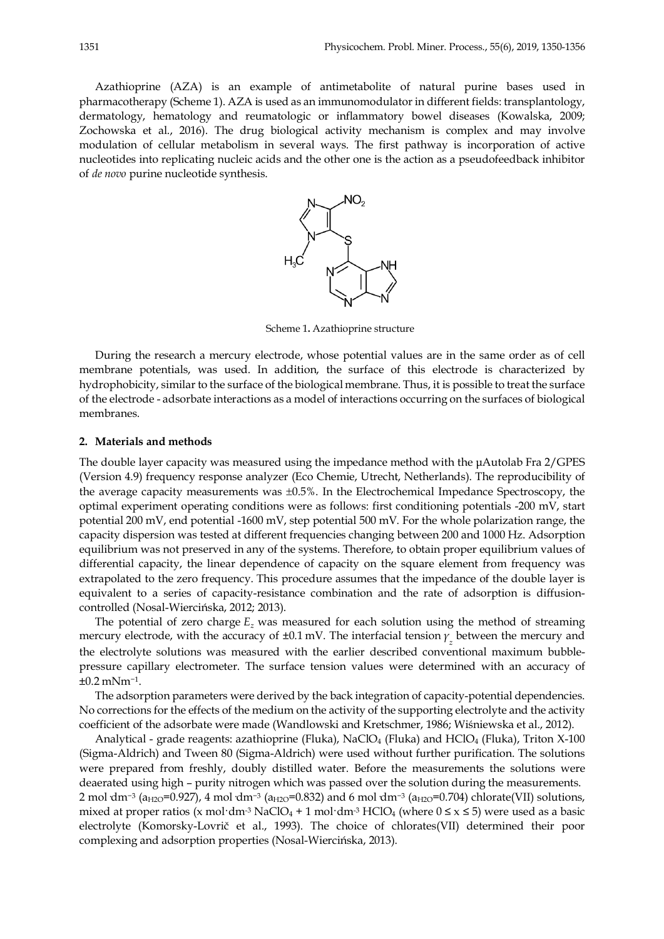Azathioprine (AZA) is an example of antimetabolite of natural purine bases used in pharmacotherapy (Scheme 1). AZA is used as an immunomodulator in different fields: transplantology, dermatology, hematology and reumatologic or inflammatory bowel diseases (Kowalska, 2009; Zochowska et al., 2016). The drug biological activity mechanism is complex and may involve modulation of cellular metabolism in several ways. The first pathway is incorporation of active nucleotides into replicating nucleic acids and the other one is the action as a pseudofeedback inhibitor of *de novo* purine nucleotide synthesis.



Scheme 1**.** Azathioprine structure

During the research a mercury electrode, whose potential values are in the same order as of cell membrane potentials, was used. In addition, the surface of this electrode is characterized by hydrophobicity, similar to the surface of the biological membrane. Thus, it is possible to treat the surface of the electrode - adsorbate interactions as a model of interactions occurring on the surfaces of biological membranes.

#### **2. Materials and methods**

The double layer capacity was measured using the impedance method with the µAutolab Fra 2/GPES (Version 4.9) frequency response analyzer (Eco Chemie, Utrecht, Netherlands). The reproducibility of the average capacity measurements was ±0.5%. In the Electrochemical Impedance Spectroscopy, the optimal experiment operating conditions were as follows: first conditioning potentials -200 mV, start potential 200 mV, end potential -1600 mV, step potential 500 mV. For the whole polarization range, the capacity dispersion was tested at different frequencies changing between 200 and 1000 Hz. Adsorption equilibrium was not preserved in any of the systems. Therefore, to obtain proper equilibrium values of differential capacity, the linear dependence of capacity on the square element from frequency was extrapolated to the zero frequency. This procedure assumes that the impedance of the double layer is equivalent to a series of capacity-resistance combination and the rate of adsorption is diffusioncontrolled (Nosal-Wiercińska, 2012; 2013).

The potential of zero charge  $E_z$  was measured for each solution using the method of streaming mercury electrode, with the accuracy of ±0.1 mV. The interfacial tension *γ<sup>z</sup>* between the mercury and the electrolyte solutions was measured with the earlier described conventional maximum bubblepressure capillary electrometer. The surface tension values were determined with an accuracy of ±0.2 mNm−1.

The adsorption parameters were derived by the back integration of capacity-potential dependencies. No corrections for the effects of the medium on the activity of the supporting electrolyte and the activity coefficient of the adsorbate were made (Wandlowski and Kretschmer, 1986; Wiśniewska et al., 2012).

Analytical - grade reagents: azathioprine (Fluka), NaClO<sub>4</sub> (Fluka) and HClO<sub>4</sub> (Fluka), Triton X-100 (Sigma-Aldrich) and Tween 80 (Sigma-Aldrich) were used without further purification. The solutions were prepared from freshly, doubly distilled water. Before the measurements the solutions were deaerated using high – purity nitrogen which was passed over the solution during the measurements. 2 mol·dm<sup>-3</sup> (a<sub>H2O</sub>=0.927), 4 mol·dm<sup>-3</sup> (a<sub>H2O</sub>=0.832) and 6 mol·dm<sup>-3</sup> (a<sub>H2O</sub>=0.704) chlorate(VII) solutions, mixed at proper ratios (x mol·dm<sup>-3</sup> NaClO<sub>4</sub> + 1 mol·dm<sup>-3</sup> HClO<sub>4</sub> (where  $0 \le x \le 5$ ) were used as a basic electrolyte (Komorsky-Lovrič et al., 1993). The choice of chlorates(VII) determined their poor complexing and adsorption properties (Nosal-Wiercińska, 2013).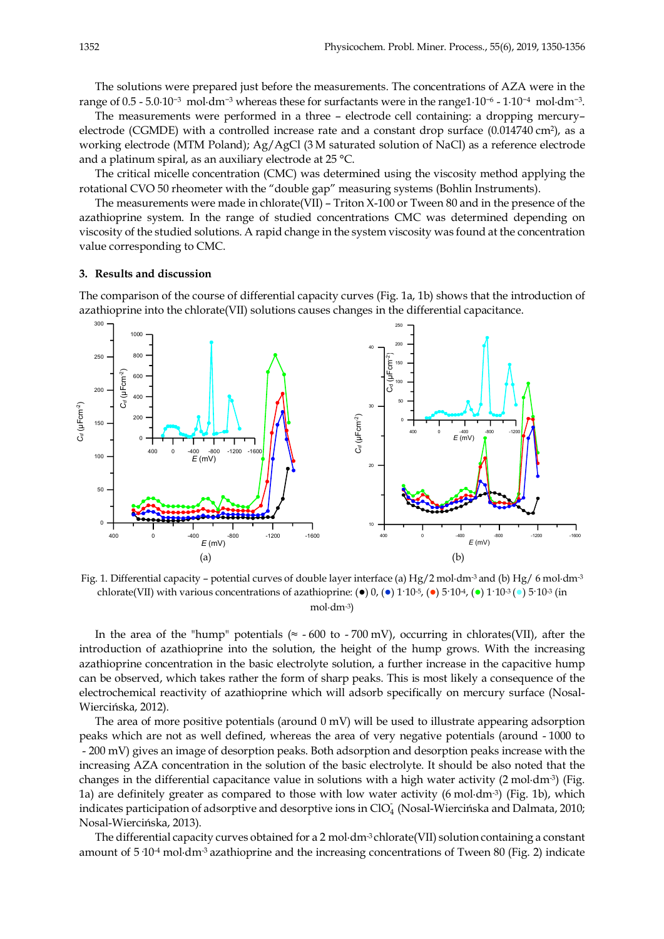The solutions were prepared just before the measurements. The concentrations of AZA were in the range of 0.5 - 5.0·10−<sup>3</sup> mol·dm−<sup>3</sup> whereas these for surfactants were in the range1·10−<sup>6</sup> - 1·10−<sup>4</sup> mol·dm−3.

The measurements were performed in a three – electrode cell containing: a dropping mercury– electrode (CGMDE) with a controlled increase rate and a constant drop surface (0.014740 cm2), as a working electrode (MTM Poland); Ag/AgCl (3 M saturated solution of NaCl) as a reference electrode and a platinum spiral, as an auxiliary electrode at 25 °C.

The critical micelle concentration (CMC) was determined using the viscosity method applying the rotational CVO 50 rheometer with the "double gap" measuring systems (Bohlin Instruments).

The measurements were made in chlorate(VII) – Triton X-100 or Tween 80 and in the presence of the azathioprine system. In the range of studied concentrations CMC was determined depending on viscosity of the studied solutions. A rapid change in the system viscosity was found at the concentration value corresponding to CMC.

### **3. Results and discussion**

The comparison of the course of differential capacity curves (Fig. 1a, 1b) shows that the introduction of azathioprine into the chlorate(VII) solutions causes changes in the differential capacitance.



Fig. 1. Differential capacity – potential curves of double layer interface (a) Hg/2 mol·dm-3 and (b) Hg/ 6 mol·dm-3 chlorate(VII) with various concentrations of azathioprine: ( $\bullet$ ) 0, ( $\bullet$ ) 1·10<sup>-5</sup>, ( $\bullet$ ) 5·10<sup>4</sup>, ( $\bullet$ ) 1·10<sup>-3</sup> ( $\bullet$ ) 5·10<sup>-3</sup> (in mol·dm-3)

In the area of the "hump" potentials ( $\approx$  -600 to -700 mV), occurring in chlorates(VII), after the introduction of azathioprine into the solution, the height of the hump grows. With the increasing azathioprine concentration in the basic electrolyte solution, a further increase in the capacitive hump can be observed, which takes rather the form of sharp peaks. This is most likely a consequence of the electrochemical reactivity of azathioprine which will adsorb specifically on mercury surface (Nosal-Wiercińska, 2012).

The area of more positive potentials (around  $0$  mV) will be used to illustrate appearing adsorption peaks which are not as well defined, whereas the area of very negative potentials (around - 1000 to - 200 mV) gives an image of desorption peaks. Both adsorption and desorption peaks increase with the increasing AZA concentration in the solution of the basic electrolyte. It should be also noted that the changes in the differential capacitance value in solutions with a high water activity  $(2 \text{ mol} \cdot \text{dm}^3)$  (Fig. 1a) are definitely greater as compared to those with low water activity (6 mol·dm-3) (Fig. 1b), which indicates participation of adsorptive and desorptive ions in ClO<sub>4</sub> (Nosal-Wiercińska and Dalmata, 2010; Nosal-Wiercińska, 2013).

The differential capacity curves obtained for a 2 mol $\cdot$ dm<sup>-3</sup> chlorate(VII) solution containing a constant amount of  $5.10^{-4}$  mol·dm<sup>-3</sup> azathioprine and the increasing concentrations of Tween 80 (Fig. 2) indicate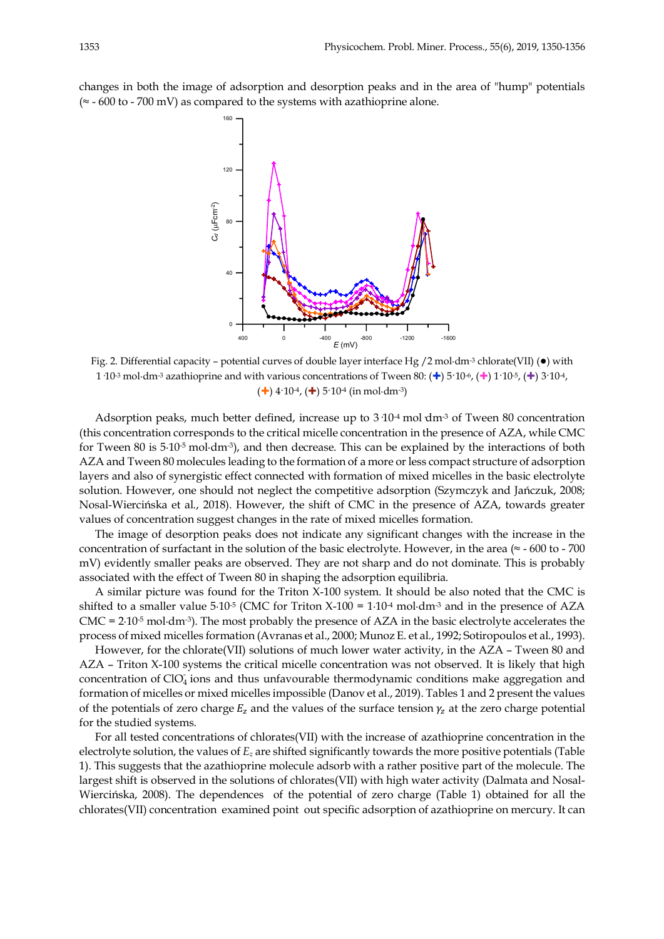changes in both the image of adsorption and desorption peaks and in the area of "hump" potentials (≈ - 600 to - 700 mV) as compared to the systems with azathioprine alone.



Fig. 2. Differential capacity – potential curves of double layer interface Hg /2 mol·dm<sup>-3</sup> chlorate(VII) ( $\bullet$ ) with 1·10<sup>-3</sup> mol·dm<sup>-3</sup> azathioprine and with various concentrations of Tween 80: ( $\pm$ ) 5·10<sup>-6</sup>, ( $\pm$ ) 1·10<sup>-5</sup>, ( $\pm$ ) 3·10<sup>-4</sup>,  $(\div)$  4.10<sup>-4</sup>,  $(\div)$  5.10<sup>-4</sup> (in mol·dm<sup>-3</sup>)

Adsorption peaks, much better defined, increase up to  $3.104$  mol dm<sup>-3</sup> of Tween 80 concentration (this concentration corresponds to the critical micelle concentration in the presence of AZA, while CMC for Tween 80 is 5·10-5 mol·dm-3), and then decrease. This can be explained by the interactions of both AZA and Tween 80 molecules leading to the formation of a more or less compact structure of adsorption layers and also of synergistic effect connected with formation of mixed micelles in the basic electrolyte solution. However, one should not neglect the competitive adsorption (Szymczyk and Jańczuk, 2008; Nosal-Wiercińska et al., 2018). However, the shift of CMC in the presence of AZA, towards greater values of concentration suggest changes in the rate of mixed micelles formation.

The image of desorption peaks does not indicate any significant changes with the increase in the concentration of surfactant in the solution of the basic electrolyte. However, in the area ( $\approx$  - 600 to - 700 mV) evidently smaller peaks are observed. They are not sharp and do not dominate. This is probably associated with the effect of Tween 80 in shaping the adsorption equilibria.

A similar picture was found for the Triton X-100 system. It should be also noted that the CMC is shifted to a smaller value  $5.10^{-5}$  (CMC for Triton X-100 =  $1.10^{4}$  mol·dm<sup>-3</sup> and in the presence of AZA  $CMC = 2.10<sup>-5</sup>$  mol·dm<sup>-3</sup>). The most probably the presence of AZA in the basic electrolyte accelerates the process of mixed micelles formation (Avranas et al., 2000; Munoz E. et al., 1992; Sotiropoulos et al., 1993).

However, for the chlorate(VII) solutions of much lower water activity, in the AZA – Tween 80 and AZA – Triton X-100 systems the critical micelle concentration was not observed. It is likely that high concentration of ClO<sub>4</sub> ions and thus unfavourable thermodynamic conditions make aggregation and formation of micelles or mixed micelles impossible (Danov et al., 2019). Tables 1 and 2 present the values of the potentials of zero charge  $E_z$  and the values of the surface tension  $\gamma_z$  at the zero charge potential for the studied systems.

For all tested concentrations of chlorates(VII) with the increase of azathioprine concentration in the electrolyte solution, the values of *Ez* are shifted significantly towards the more positive potentials (Table 1). This suggests that the azathioprine molecule adsorb with a rather positive part of the molecule. The largest shift is observed in the solutions of chlorates(VII) with high water activity (Dalmata and Nosal-Wiercińska, 2008). The dependences of the potential of zero charge (Table 1) obtained for all the chlorates(VII) concentration examined point out specific adsorption of azathioprine on mercury. It can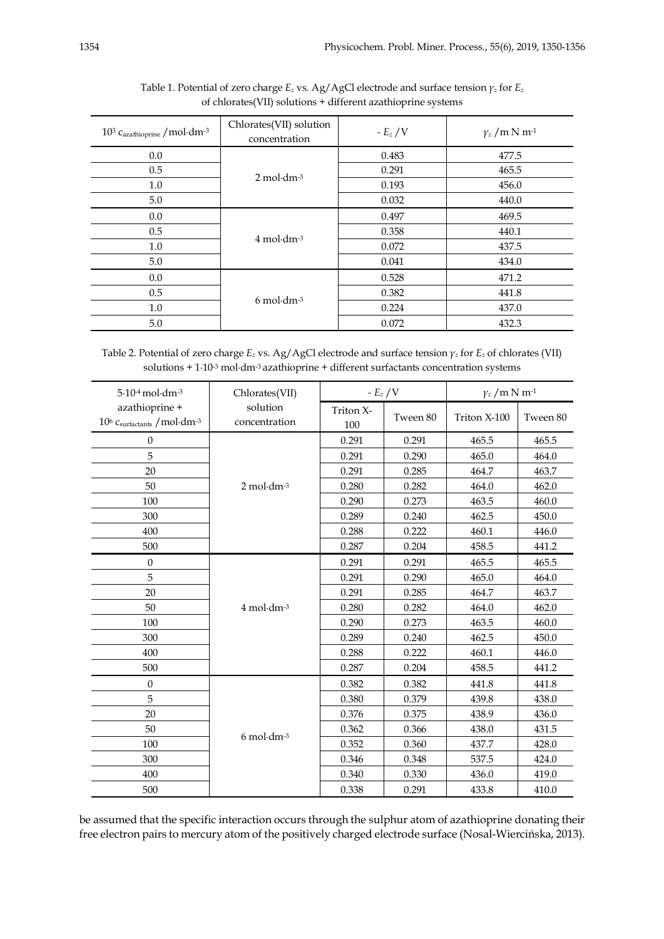| $10^3$ C <sub>azathioprine</sub> / mol·dm- <sup>3</sup> | Chlorates(VII) solution<br>concentration | - $E_z/V$ | $\gamma_z/m \text{ N m}^{-1}$ |
|---------------------------------------------------------|------------------------------------------|-----------|-------------------------------|
| 0.0                                                     | $2 \text{ mol} \cdot \text{dm}^{-3}$     | 0.483     | 477.5                         |
| 0.5                                                     |                                          | 0.291     | 465.5                         |
| 1.0                                                     |                                          | 0.193     | 456.0                         |
| 5.0                                                     |                                          | 0.032     | 440.0                         |
| 0.0                                                     | $4 \text{ mol} \cdot \text{dm}^{-3}$     | 0.497     | 469.5                         |
| 0.5                                                     |                                          | 0.358     | 440.1                         |
| 1.0                                                     |                                          | 0.072     | 437.5                         |
| 5.0                                                     |                                          | 0.041     | 434.0                         |
| 0.0                                                     | $6 \text{ mol} \cdot \text{dm}^{-3}$     | 0.528     | 471.2                         |
| 0.5                                                     |                                          | 0.382     | 441.8                         |
| 1.0                                                     |                                          | 0.224     | 437.0                         |
| 5.0                                                     |                                          | 0.072     | 432.3                         |

Table 1. Potential of zero charge *Ez* vs. Ag/AgCl electrode and surface tension *γ<sup>z</sup>* for *Ez* of chlorates(VII) solutions + different azathioprine systems

Table 2. Potential of zero charge *Ez* vs. Ag/AgCl electrode and surface tension *γ<sup>z</sup>* for *Ez* of chlorates (VII) solutions + 1·10-3 mol·dm-3 azathioprine + different surfactants concentration systems

| $5.104$ mol $\cdot$ dm $-3$                                               | Chlorates(VII)                               |                  | - $E_z/V$ |              | $\gamma_z/m$ N m <sup>-1</sup> |  |
|---------------------------------------------------------------------------|----------------------------------------------|------------------|-----------|--------------|--------------------------------|--|
| azathioprine +<br>$10^6$ $\mathrm{C_{surfactants}}$ /mol·dm- <sup>3</sup> | solution<br>concentration                    | Triton X-<br>100 | Tween 80  | Triton X-100 | Tween 80                       |  |
| $\overline{0}$                                                            | $2 \text{ mol} \cdot \text{dm}$ -3           | 0.291            | 0.291     | 465.5        | 465.5                          |  |
| 5                                                                         |                                              | 0.291            | 0.290     | 465.0        | 464.0                          |  |
| 20                                                                        |                                              | 0.291            | 0.285     | 464.7        | 463.7                          |  |
| 50                                                                        |                                              | 0.280            | 0.282     | 464.0        | 462.0                          |  |
| 100                                                                       |                                              | 0.290            | 0.273     | 463.5        | 460.0                          |  |
| 300                                                                       |                                              | 0.289            | 0.240     | 462.5        | 450.0                          |  |
| 400                                                                       |                                              | 0.288            | 0.222     | 460.1        | 446.0                          |  |
| 500                                                                       |                                              | 0.287            | 0.204     | 458.5        | 441.2                          |  |
| $\overline{0}$                                                            | 4 mol·dm-3                                   | 0.291            | 0.291     | 465.5        | 465.5                          |  |
| 5                                                                         |                                              | 0.291            | 0.290     | 465.0        | 464.0                          |  |
| 20                                                                        |                                              | 0.291            | 0.285     | 464.7        | 463.7                          |  |
| 50                                                                        |                                              | 0.280            | 0.282     | 464.0        | 462.0                          |  |
| 100                                                                       |                                              | 0.290            | 0.273     | 463.5        | 460.0                          |  |
| 300                                                                       |                                              | 0.289            | 0.240     | 462.5        | 450.0                          |  |
| 400                                                                       |                                              | 0.288            | 0.222     | 460.1        | 446.0                          |  |
| 500                                                                       |                                              | 0.287            | 0.204     | 458.5        | 441.2                          |  |
| $\overline{0}$                                                            | $6 \text{ mol} \cdot \text{dm}$ <sup>3</sup> | 0.382            | 0.382     | 441.8        | 441.8                          |  |
| 5                                                                         |                                              | 0.380            | 0.379     | 439.8        | 438.0                          |  |
| 20                                                                        |                                              | 0.376            | 0.375     | 438.9        | 436.0                          |  |
| 50                                                                        |                                              | 0.362            | 0.366     | 438.0        | 431.5                          |  |
| 100                                                                       |                                              | 0.352            | 0.360     | 437.7        | 428.0                          |  |
| 300                                                                       |                                              | 0.346            | 0.348     | 537.5        | 424.0                          |  |
| 400                                                                       |                                              | 0.340            | 0.330     | 436.0        | 419.0                          |  |
| 500                                                                       |                                              | 0.338            | 0.291     | 433.8        | 410.0                          |  |

be assumed that the specific interaction occurs through the sulphur atom of azathioprine donating their free electron pairs to mercury atom of the positively charged electrode surface (Nosal-Wiercińska, 2013).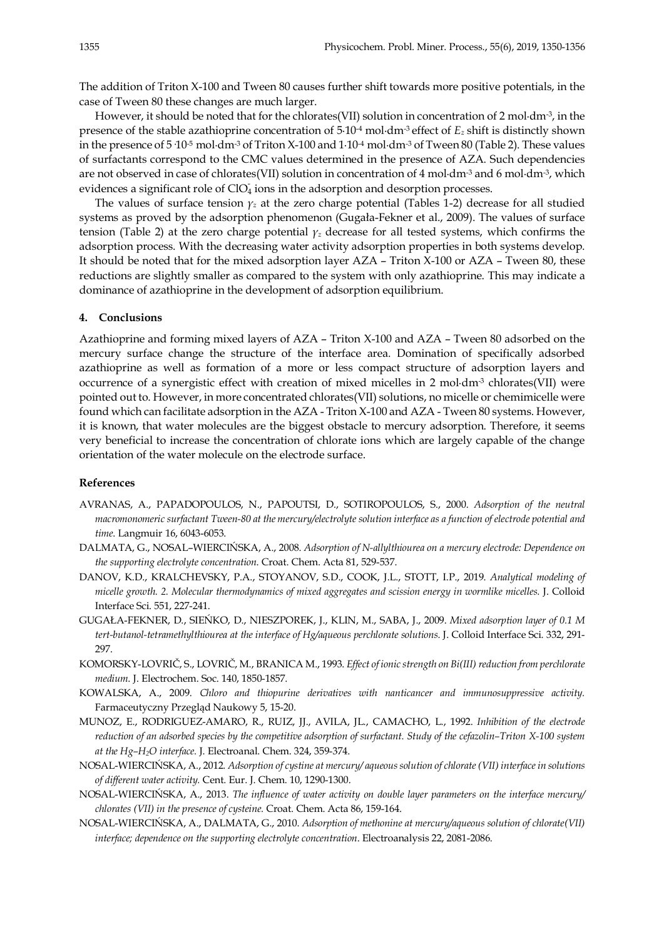The addition of Triton X-100 and Tween 80 causes further shift towards more positive potentials, in the case of Tween 80 these changes are much larger.

However, it should be noted that for the chlorates(VII) solution in concentration of 2 mol·dm<sup>-3</sup>, in the presence of the stable azathioprine concentration of 5·10-4 mol·dm-3 effect of *Ez* shift is distinctly shown in the presence of  $5.10$ <sup>-5</sup> mol·dm<sup>-3</sup> of Triton X-100 and  $1.10$ <sup>-4</sup> mol·dm<sup>-3</sup> of Tween 80 (Table 2). These values of surfactants correspond to the CMC values determined in the presence of AZA. Such dependencies are not observed in case of chlorates(VII) solution in concentration of 4 mol·dm-3 and 6 mol·dm-3, which evidences a significant role of  $ClO<sub>4</sub>$  ions in the adsorption and desorption processes.

The values of surface tension  $\gamma_z$  at the zero charge potential (Tables 1-2) decrease for all studied systems as proved by the adsorption phenomenon (Gugała-Fekner et al., 2009). The values of surface tension (Table 2) at the zero charge potential *γ<sup>z</sup>* decrease for all tested systems, which confirms the adsorption process. With the decreasing water activity adsorption properties in both systems develop. It should be noted that for the mixed adsorption layer AZA – Triton X-100 or AZA – Tween 80, these reductions are slightly smaller as compared to the system with only azathioprine. This may indicate a dominance of azathioprine in the development of adsorption equilibrium.

# **4. Conclusions**

Azathioprine and forming mixed layers of AZA – Triton X-100 and AZA – Tween 80 adsorbed on the mercury surface change the structure of the interface area. Domination of specifically adsorbed azathioprine as well as formation of a more or less compact structure of adsorption layers and occurrence of a synergistic effect with creation of mixed micelles in 2 mol·dm-3 chlorates(VII) were pointed out to. However, in more concentrated chlorates(VII) solutions, no micelle or chemimicelle were found which can facilitate adsorption in the AZA - Triton X-100 and AZA - Tween 80 systems. However, it is known, that water molecules are the biggest obstacle to mercury adsorption. Therefore, it seems very beneficial to increase the concentration of chlorate ions which are largely capable of the change orientation of the water molecule on the electrode surface.

# **References**

- AVRANAS, A., PAPADOPOULOS, N., PAPOUTSI, D., SOTIROPOULOS, S., 2000. *Adsorption of the neutral macromonomeric surfactant Tween-80 at the mercury/electrolyte solution interface as a function of electrode potential and time*. Langmuir 16, 6043-6053.
- DALMATA, G., NOSAL–WIERCIŃSKA, A., 2008. *Adsorption of N-allylthiourea on a mercury electrode: Dependence on the supporting electrolyte concentration*. Croat. Chem. Acta 81, 529-537.
- DANOV, K.D., KRALCHEVSKY, P.A., STOYANOV, S.D., COOK, J.L., STOTT, I.P., 2019. *Analytical modeling of micelle growth. 2. Molecular thermodynamics of mixed aggregates and scission energy in wormlike micelles.* J. Colloid Interface Sci. 551, 227-241.
- GUGAŁA-FEKNER, D., SIEŃKO, D., NIESZPOREK, J., KLIN, M., SABA, J., 2009. *Mixed adsorption layer of 0.1 M tert-butanol-tetramethylthiourea at the interface of Hg/aqueous perchlorate solutions*. J. Colloid Interface Sci. 332, 291- 297.
- KOMORSKY-LOVRIČ, S., LOVRIČ, M., BRANICA M., 1993. *Effect of ionic strength on Bi(III) reduction from perchlorate medium*. J. Electrochem. Soc. 140, 1850-1857.
- KOWALSKA, A., 2009. *Chloro and thiopurine derivatives with nanticancer and immunosuppressive activity.* Farmaceutyczny Przegląd Naukowy 5, 15-20.
- MUNOZ, E., RODRIGUEZ-AMARO, R., RUIZ, JJ., AVILA, JL., CAMACHO, L., 1992. *Inhibition of the electrode reduction of an adsorbed species by the competitive adsorption of surfactant. Study of the cefazolin–Triton X-100 system at the Hg–H2O interface.* J. Electroanal. Chem. 324, 359-374.
- NOSAL-WIERCIŃSKA, A., 2012*. Adsorption of cystine at mercury/ aqueous solution of chlorate (VII) interface in solutions of different water activity.* Cent. Eur. J. Chem. 10, 1290-1300.
- NOSAL-WIERCIŃSKA, A., 2013. *The influence of water activity on double layer parameters on the interface mercury/ chlorates (VII) in the presence of cysteine.* Croat. Chem. Acta 86, 159-164.
- NOSAL-WIERCIŃSKA, A., DALMATA, G., 2010. *Adsorption of methonine at mercury/aqueous solution of chlorate(VII) interface; dependence on the supporting electrolyte concentration*. Electroanalysis 22, 2081-2086.